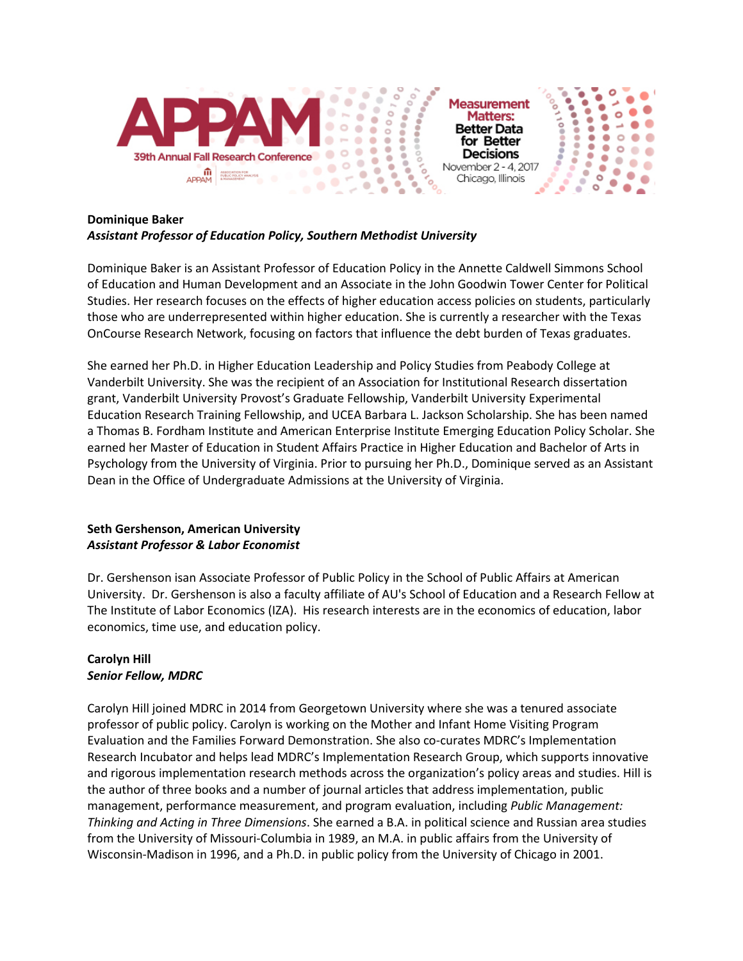

### **Dominique Baker** *Assistant Professor of Education Policy, Southern Methodist University*

Dominique Baker is an Assistant Professor of Education Policy in the Annette Caldwell Simmons School of Education and Human Development and an Associate in the John Goodwin Tower Center for Political Studies. Her research focuses on the effects of higher education access policies on students, particularly those who are underrepresented within higher education. She is currently a researcher with the Texas OnCourse Research Network, focusing on factors that influence the debt burden of Texas graduates.

She earned her Ph.D. in Higher Education Leadership and Policy Studies from Peabody College at Vanderbilt University. She was the recipient of an Association for Institutional Research dissertation grant, Vanderbilt University Provost's Graduate Fellowship, Vanderbilt University Experimental Education Research Training Fellowship, and UCEA Barbara L. Jackson Scholarship. She has been named a Thomas B. Fordham Institute and American Enterprise Institute Emerging Education Policy Scholar. She earned her Master of Education in Student Affairs Practice in Higher Education and Bachelor of Arts in Psychology from the University of Virginia. Prior to pursuing her Ph.D., Dominique served as an Assistant Dean in the Office of Undergraduate Admissions at the University of Virginia.

### **Seth Gershenson, American University**  *Assistant Professor & Labor Economist*

Dr. Gershenson isan Associate Professor of Public Policy in the School of Public Affairs at American University. Dr. Gershenson is also a faculty affiliate of AU's School of Education and a Research Fellow at The Institute of Labor Economics (IZA). His research interests are in the economics of education, labor economics, time use, and education policy.

### **Carolyn Hill** *Senior Fellow, MDRC*

Carolyn Hill joined MDRC in 2014 from Georgetown University where she was a tenured associate professor of public policy. Carolyn is working on the [Mother and Infant Home Visiting Program](http://www.mdrc.org/project/mother-and-infant-home-visiting-program-evaluation-mihope#overview)  [Evaluation](http://www.mdrc.org/project/mother-and-infant-home-visiting-program-evaluation-mihope#overview) and the [Families Forward Demonstration.](http://www.mdrc.org/project/families-forward-demonstration#overview) She also co-curates MDRC's [Implementation](http://www.mdrc.org/implementation-research-incubator)  [Research Incubator](http://www.mdrc.org/implementation-research-incubator) and helps lead MDRC's Implementation Research Group, which supports innovative and rigorous implementation research methods across the organization's policy areas and studies. Hill is the author of three books and a number of journal articles that address implementation, public management, performance measurement, and program evaluation, including *Public Management: Thinking and Acting in Three Dimensions*. She earned a B.A. in political science and Russian area studies from the University of Missouri-Columbia in 1989, an M.A. in public affairs from the University of Wisconsin-Madison in 1996, and a Ph.D. in public policy from the University of Chicago in 2001.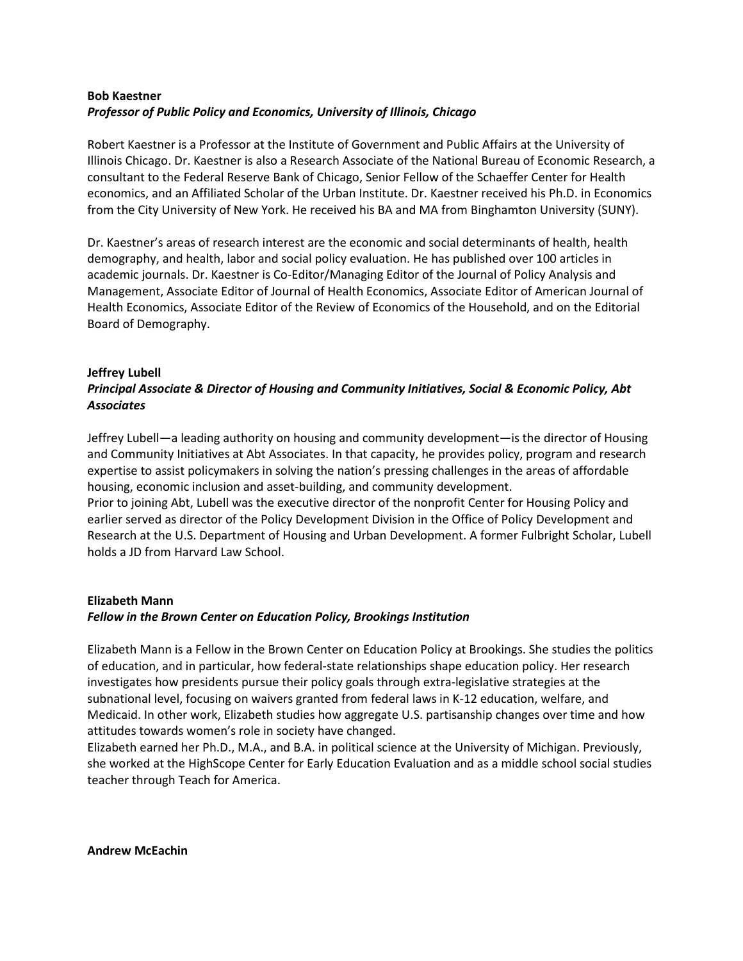## **Bob Kaestner** *Professor of Public Policy and Economics, University of Illinois, Chicago*

Robert Kaestner is a Professor at the Institute of Government and Public Affairs at the University of Illinois Chicago. Dr. Kaestner is also a Research Associate of the National Bureau of Economic Research, a consultant to the Federal Reserve Bank of Chicago, Senior Fellow of the Schaeffer Center for Health economics, and an Affiliated Scholar of the Urban Institute. Dr. Kaestner received his Ph.D. in Economics from the City University of New York. He received his BA and MA from Binghamton University (SUNY).

Dr. Kaestner's areas of research interest are the economic and social determinants of health, health demography, and health, labor and social policy evaluation. He has published over 100 articles in academic journals. Dr. Kaestner is Co-Editor/Managing Editor of the Journal of Policy Analysis and Management, Associate Editor of Journal of Health Economics, Associate Editor of American Journal of Health Economics, Associate Editor of the Review of Economics of the Household, and on the Editorial Board of Demography.

### **Jeffrey Lubell**

# *Principal Associate & Director of Housing and Community Initiatives, Social & Economic Policy, Abt Associates*

Jeffrey Lubell—a leading authority on housing and community development—is the director of Housing and Community Initiatives at Abt Associates. In that capacity, he provides policy, program and research expertise to assist policymakers in solving the nation's pressing challenges in the areas of affordable housing, economic inclusion and asset-building, and community development. Prior to joining Abt, Lubell was the executive director of the nonprofit Center for Housing Policy and earlier served as director of the Policy Development Division in the Office of Policy Development and Research at the U.S. Department of Housing and Urban Development. A former Fulbright Scholar, Lubell

holds a JD from Harvard Law School.

# **Elizabeth Mann**

# *Fellow in the Brown Center on Education Policy, Brookings Institution*

Elizabeth Mann is a Fellow in the Brown Center on Education Policy at Brookings. She studies the politics of education, and in particular, how federal-state relationships shape education policy. Her research investigates how presidents pursue their policy goals through extra-legislative strategies at the subnational level, focusing on waivers granted from federal laws in K-12 education, welfare, and Medicaid. In other work, Elizabeth studies how aggregate U.S. partisanship changes over time and how attitudes towards women's role in society have changed.

Elizabeth earned her Ph.D., M.A., and B.A. in political science at the University of Michigan. Previously, she worked at the HighScope Center for Early Education Evaluation and as a middle school social studies teacher through Teach for America.

**Andrew McEachin**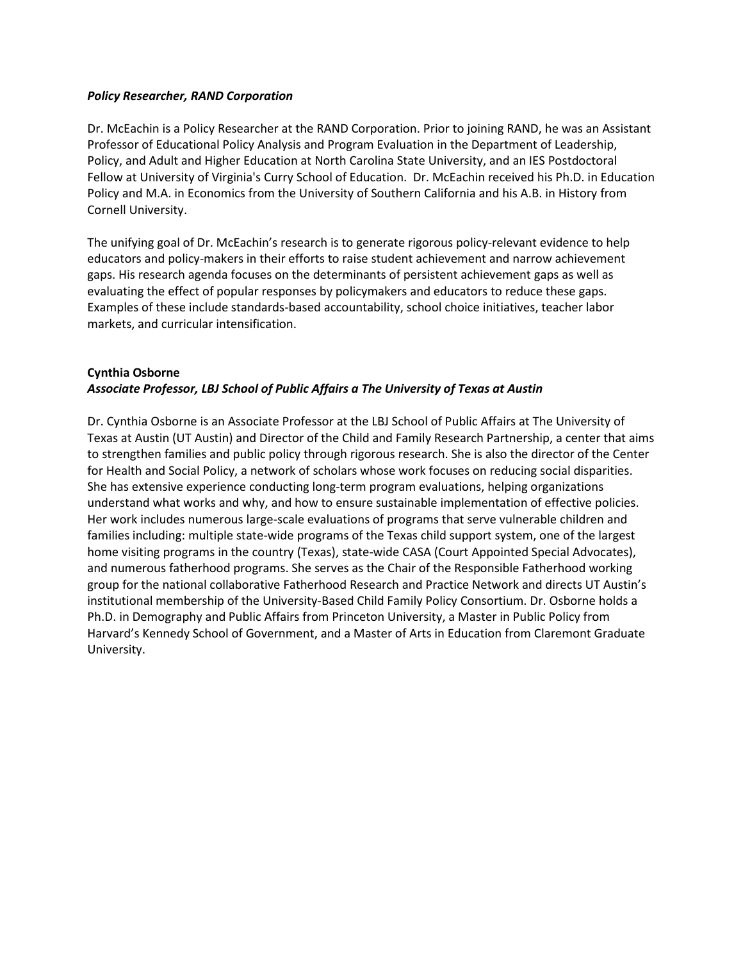#### *Policy Researcher, RAND Corporation*

Dr. McEachin is a Policy Researcher at the RAND Corporation. Prior to joining RAND, he was an Assistant Professor of Educational Policy Analysis and Program Evaluation in the Department of Leadership, Policy, and Adult and Higher Education at North Carolina State University, and an IES Postdoctoral Fellow at University of Virginia's Curry School of Education. Dr. McEachin received his Ph.D. in Education Policy and M.A. in Economics from the University of Southern California and his A.B. in History from Cornell University.

The unifying goal of Dr. McEachin's research is to generate rigorous policy-relevant evidence to help educators and policy-makers in their efforts to raise student achievement and narrow achievement gaps. His research agenda focuses on the determinants of persistent achievement gaps as well as evaluating the effect of popular responses by policymakers and educators to reduce these gaps. Examples of these include standards-based accountability, school choice initiatives, teacher labor markets, and curricular intensification.

# **Cynthia Osborne** *Associate Professor, LBJ School of Public Affairs a The University of Texas at Austin*

Dr. Cynthia Osborne is an Associate Professor at the LBJ School of Public Affairs at The University of Texas at Austin (UT Austin) and Director of the Child and Family Research Partnership, a center that aims to strengthen families and public policy through rigorous research. She is also the director of the Center for Health and Social Policy, a network of scholars whose work focuses on reducing social disparities. She has extensive experience conducting long-term program evaluations, helping organizations understand what works and why, and how to ensure sustainable implementation of effective policies. Her work includes numerous large-scale evaluations of programs that serve vulnerable children and families including: multiple state-wide programs of the Texas child support system, one of the largest home visiting programs in the country (Texas), state-wide CASA (Court Appointed Special Advocates), and numerous fatherhood programs. She serves as the Chair of the Responsible Fatherhood working group for the national collaborative Fatherhood Research and Practice Network and directs UT Austin's institutional membership of the University-Based Child Family Policy Consortium. Dr. Osborne holds a Ph.D. in Demography and Public Affairs from Princeton University, a Master in Public Policy from Harvard's Kennedy School of Government, and a Master of Arts in Education from Claremont Graduate University.